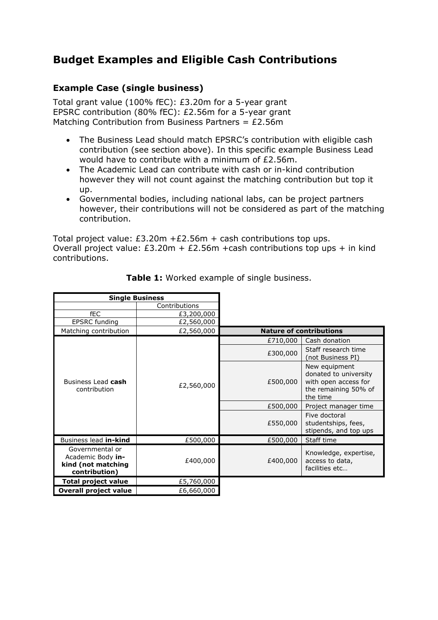## **Budget Examples and Eligible Cash Contributions**

## **Example Case (single business)**

Total grant value (100% fEC): £3.20m for a 5-year grant EPSRC contribution (80% fEC): £2.56m for a 5-year grant Matching Contribution from Business Partners =  $£2.56m$ 

- The Business Lead should match EPSRC's contribution with eligible cash contribution (see section above). In this specific example Business Lead would have to contribute with a minimum of £2.56m.
- The Academic Lead can contribute with cash or in-kind contribution however they will not count against the matching contribution but top it up.
- Governmental bodies, including national labs, can be project partners however, their contributions will not be considered as part of the matching contribution.

Total project value: £3.20m +£2.56m + cash contributions top ups. Overall project value:  $£3.20m + £2.56m + cash contributions top ups + in kind$ contributions.

| <b>Single Business</b>                                                      |               |          |                                                                                                    |  |  |
|-----------------------------------------------------------------------------|---------------|----------|----------------------------------------------------------------------------------------------------|--|--|
|                                                                             | Contributions |          |                                                                                                    |  |  |
| <b>fEC</b>                                                                  | £3,200,000    |          |                                                                                                    |  |  |
| <b>EPSRC</b> funding                                                        | £2,560,000    |          |                                                                                                    |  |  |
| Matching contribution                                                       | £2,560,000    |          | <b>Nature of contributions</b>                                                                     |  |  |
|                                                                             |               | £710,000 | Cash donation                                                                                      |  |  |
| Business Lead cash<br>contribution                                          | £2,560,000    | £300,000 | Staff research time<br>(not Business PI)                                                           |  |  |
|                                                                             |               | £500,000 | New equipment<br>donated to university<br>with open access for<br>the remaining 50% of<br>the time |  |  |
|                                                                             |               | £500,000 | Project manager time                                                                               |  |  |
|                                                                             |               | £550,000 | Five doctoral<br>studentships, fees,<br>stipends, and top ups                                      |  |  |
| Business lead <b>in-kind</b>                                                | £500,000      | £500,000 | Staff time                                                                                         |  |  |
| Governmental or<br>Academic Body in-<br>kind (not matching<br>contribution) | £400,000      | £400,000 | Knowledge, expertise,<br>access to data,<br>facilities etc                                         |  |  |
| <b>Total project value</b>                                                  | £5,760,000    |          |                                                                                                    |  |  |
| <b>Overall project value</b>                                                | £6,660,000    |          |                                                                                                    |  |  |

**Table 1:** Worked example of single business.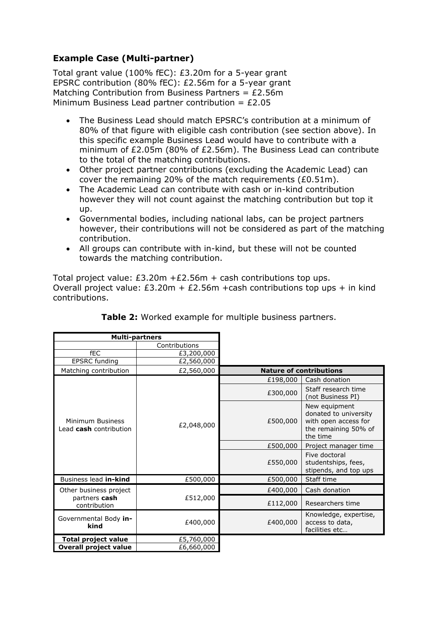## **Example Case (Multi-partner)**

Total grant value (100% fEC): £3.20m for a 5-year grant EPSRC contribution (80% fEC): £2.56m for a 5-year grant Matching Contribution from Business Partners =  $£2.56m$ Minimum Business Lead partner contribution =  $£2.05$ 

- The Business Lead should match EPSRC's contribution at a minimum of 80% of that figure with eligible cash contribution (see section above). In this specific example Business Lead would have to contribute with a minimum of £2.05m (80% of £2.56m). The Business Lead can contribute to the total of the matching contributions.
- Other project partner contributions (excluding the Academic Lead) can cover the remaining 20% of the match requirements (£0.51m).
- The Academic Lead can contribute with cash or in-kind contribution however they will not count against the matching contribution but top it up.
- Governmental bodies, including national labs, can be project partners however, their contributions will not be considered as part of the matching contribution.
- All groups can contribute with in-kind, but these will not be counted towards the matching contribution.

Total project value:  $£3.20m + £2.56m + cash contributions top ups.$ Overall project value:  $£3.20m + £2.56m + cash$  contributions top ups + in kind contributions.

| <b>Multi-partners</b>                                   |               |          |                                                                                                    |  |  |  |
|---------------------------------------------------------|---------------|----------|----------------------------------------------------------------------------------------------------|--|--|--|
|                                                         | Contributions |          |                                                                                                    |  |  |  |
| fEC                                                     | £3,200,000    |          |                                                                                                    |  |  |  |
| <b>EPSRC</b> funding                                    | £2,560,000    |          |                                                                                                    |  |  |  |
| Matching contribution                                   | £2,560,000    |          | <b>Nature of contributions</b>                                                                     |  |  |  |
| Minimum Business<br>Lead cash contribution              | £2,048,000    | £198,000 | Cash donation                                                                                      |  |  |  |
|                                                         |               | £300,000 | Staff research time<br>(not Business PI)                                                           |  |  |  |
|                                                         |               | £500,000 | New equipment<br>donated to university<br>with open access for<br>the remaining 50% of<br>the time |  |  |  |
|                                                         |               | £500,000 | Project manager time                                                                               |  |  |  |
|                                                         |               | £550,000 | Five doctoral<br>studentships, fees,<br>stipends, and top ups                                      |  |  |  |
| Business lead in-kind                                   | £500,000      | £500,000 | Staff time                                                                                         |  |  |  |
| Other business project<br>partners cash<br>contribution | £512,000      | £400,000 | Cash donation                                                                                      |  |  |  |
|                                                         |               | £112,000 | Researchers time                                                                                   |  |  |  |
| Governmental Body in-<br>kind                           | £400,000      | £400,000 | Knowledge, expertise,<br>access to data,<br>facilities etc                                         |  |  |  |
| <b>Total project value</b>                              | £5,760,000    |          |                                                                                                    |  |  |  |
| <b>Overall project value</b>                            | £6,660,000    |          |                                                                                                    |  |  |  |

| Table 2: Worked example for multiple business partners. |  |  |  |  |  |  |
|---------------------------------------------------------|--|--|--|--|--|--|
|---------------------------------------------------------|--|--|--|--|--|--|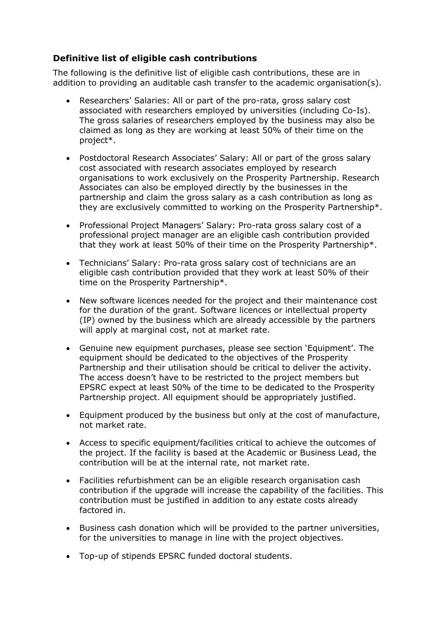## **Definitive list of eligible cash contributions**

The following is the definitive list of eligible cash contributions, these are in addition to providing an auditable cash transfer to the academic organisation(s).

- Researchers' Salaries: All or part of the pro-rata, gross salary cost associated with researchers employed by universities (including Co-Is). The gross salaries of researchers employed by the business may also be claimed as long as they are working at least 50% of their time on the project\*.
- Postdoctoral Research Associates' Salary: All or part of the gross salary cost associated with research associates employed by research organisations to work exclusively on the Prosperity Partnership. Research Associates can also be employed directly by the businesses in the partnership and claim the gross salary as a cash contribution as long as they are exclusively committed to working on the Prosperity Partnership\*.
- Professional Project Managers' Salary: Pro-rata gross salary cost of a professional project manager are an eligible cash contribution provided that they work at least 50% of their time on the Prosperity Partnership\*.
- Technicians' Salary: Pro-rata gross salary cost of technicians are an eligible cash contribution provided that they work at least 50% of their time on the Prosperity Partnership\*.
- New software licences needed for the project and their maintenance cost for the duration of the grant. Software licences or intellectual property (IP) owned by the business which are already accessible by the partners will apply at marginal cost, not at market rate.
- Genuine new equipment purchases, please see section 'Equipment'. The equipment should be dedicated to the objectives of the Prosperity Partnership and their utilisation should be critical to deliver the activity. The access doesn't have to be restricted to the project members but EPSRC expect at least 50% of the time to be dedicated to the Prosperity Partnership project. All equipment should be appropriately justified.
- Equipment produced by the business but only at the cost of manufacture, not market rate.
- Access to specific equipment/facilities critical to achieve the outcomes of the project. If the facility is based at the Academic or Business Lead, the contribution will be at the internal rate, not market rate.
- Facilities refurbishment can be an eligible research organisation cash contribution if the upgrade will increase the capability of the facilities. This contribution must be justified in addition to any estate costs already factored in.
- Business cash donation which will be provided to the partner universities, for the universities to manage in line with the project objectives.
- Top-up of stipends EPSRC funded doctoral students.